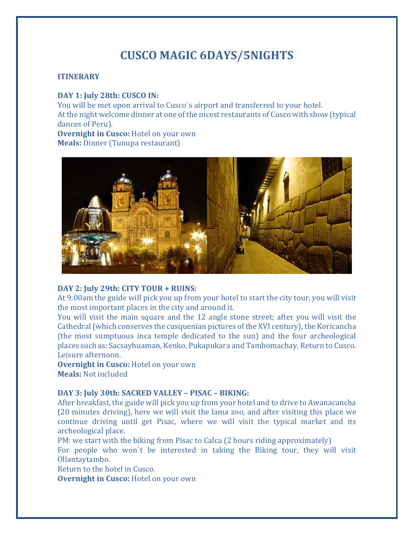# **CUSCO MAGIC 6DAYS/5NIGHTS**

## **ITINERARY**

#### **DAY 1: July 28th: CUSCO IN:**

You will be met upon arrival to Cusco`s airport and transferred to your hotel. At the night welcome dinner at one of the nicest restaurants of Cusco with show (typical dances of Peru).

**Overnight in Cusco:** Hotel on your own **Meals:** Dinner (Tunupa restaurant)



#### **DAY 2: July 29th: CITY TOUR + RUINS:**

At 9:00am the guide will pick you up from your hotel to start the city tour, you will visit the most important places in the city and around it.

You will visit the main square and the 12 angle stone street; after you will visit the Cathedral (which conserves the cusquenian pictures of the XVI century), the Koricancha (the most sumptuous inca temple dedicated to the sun) and the four archeological places such as: Sacsayhuaman, Kenko, Pukapukara and Tambomachay. Return to Cusco. Leisure afternoon.

**Overnight in Cusco:** Hotel on your own **Meals:** Not included

## **DAY 3: July 30th: SACRED VALLEY – PISAC – BIKING:**

After breakfast, the guide will pick you up from your hotel and to drive to Awanacancha (20 minutes driving), here we will visit the lama zoo, and after visiting this place we continue driving until get Pisac, where we will visit the typical market and its archeological place.

PM: we start with the biking from Pisac to Calca (2 hours riding approximately) For people who won´t be interested in taking the Biking tour, they will visit

Ollantaytambo.

Return to the hotel in Cusco.

**Overnight in Cusco:** Hotel on your own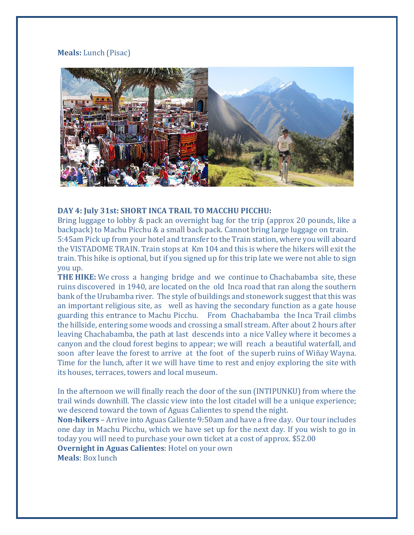## **Meals:** Lunch (Pisac)



#### **DAY 4: July 31st: SHORT INCA TRAIL TO MACCHU PICCHU:**

Bring luggage to lobby & pack an overnight bag for the trip (approx 20 pounds, like a backpack) to Machu Picchu & a small back pack. Cannot bring large luggage on train. 5:45am Pick up from your hotel and transfer to the Train station, where you will aboard the VISTADOME TRAIN. Train stops at Km 104 and this is where the hikers will exit the train. This hike is optional, but if you signed up for this trip late we were not able to sign you up.

**THE HIKE:** We cross a hanging bridge and we continue to Chachabamba site, these ruins discovered in 1940, are located on the old Inca road that ran along the southern bank of the Urubamba river. The style of buildings and stonework suggest that this was an important religious site, as well as having the secondary function as a gate house guarding this entrance to Machu Picchu. From Chachabamba the Inca Trail climbs the hillside, entering some woods and crossing a small stream. After about 2 hours after leaving Chachabamba, the path at last descends into a nice Valley where it becomes a canyon and the cloud forest begins to appear; we will reach a beautiful waterfall, and soon after leave the forest to arrive at the foot of the superb ruins of Wiñay Wayna. Time for the lunch, after it we will have time to rest and enjoy exploring the site with its houses, terraces, towers and local museum.

In the afternoon we will finally reach the door of the sun (INTIPUNKU) from where the trail winds downhill. The classic view into the lost citadel will be a unique experience; we descend toward the town of Aguas Calientes to spend the night.

**Non-hikers** – Arrive into Aguas Caliente 9:50am and have a free day. Our tour includes one day in Machu Picchu, which we have set up for the next day. If you wish to go in today you will need to purchase your own ticket at a cost of approx. \$52.00 **Overnight in Aguas Calientes**: Hotel on your own **Meals**: Box lunch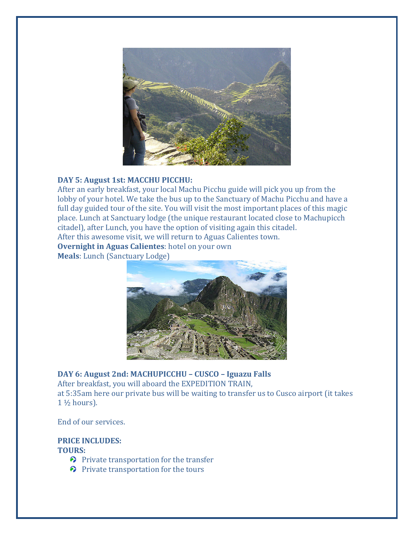

# **DAY 5: August 1st: MACCHU PICCHU:**

After an early breakfast, your local Machu Picchu guide will pick you up from the lobby of your hotel. We take the bus up to the Sanctuary of Machu Picchu and have a full day guided tour of the site. You will visit the most important places of this magic place. Lunch at Sanctuary lodge (the unique restaurant located close to Machupicch citadel), after Lunch, you have the option of visiting again this citadel. After this awesome visit, we will return to Aguas Calientes town.

**Overnight in Aguas Calientes**: hotel on your own

**Meals**: Lunch (Sanctuary Lodge)



**DAY 6: August 2nd: MACHUPICCHU – CUSCO – Iguazu Falls**  After breakfast, you will aboard the EXPEDITION TRAIN, at 5:35am here our private bus will be waiting to transfer us to Cusco airport (it takes 1 ½ hours).

End of our services.

# **PRICE INCLUDES: TOURS:**

- Private transportation for the transfer
- $\odot$  Private transportation for the tours